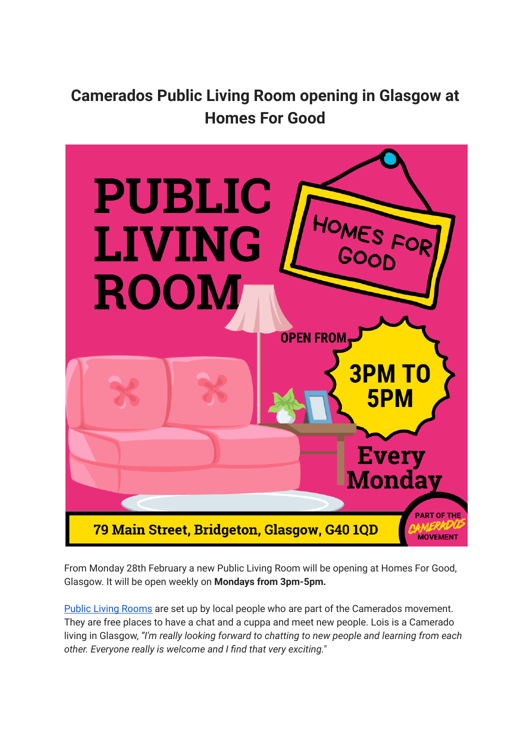**Camerados Public Living Room opening in Glasgow at Homes For Good**



From Monday 28th February a new Public Living Room will be opening at Homes For Good, Glasgow. It will be open weekly on **Mondays from 3pm-5pm.**

Public Living [Rooms](http://tracking.camerados.org/tracking/click?d=EYeJ80FmqCqVEFrEP8utN9tgiBfw7_EhMsKfDVnFJaP2lLZ7O4ztD74_e1NV7_11LQhOklrcwy6HCZnEmYlP6IMUNSnc96bszzoyer2jv-tv6u-5khfKujhpjW8ukb3Rk-MP4c5D6NOOLR9BLPRGhHVMhSvwtuEk7LPo6F0L7u1G0) are set up by local people who are part of the Camerados movement. They are free places to have a chat and a cuppa and meet new people. Lois is a Camerado living in Glasgow, *"I'm really looking forward to chatting to new people and learning from each other. Everyone really is welcome and I find that very exciting."*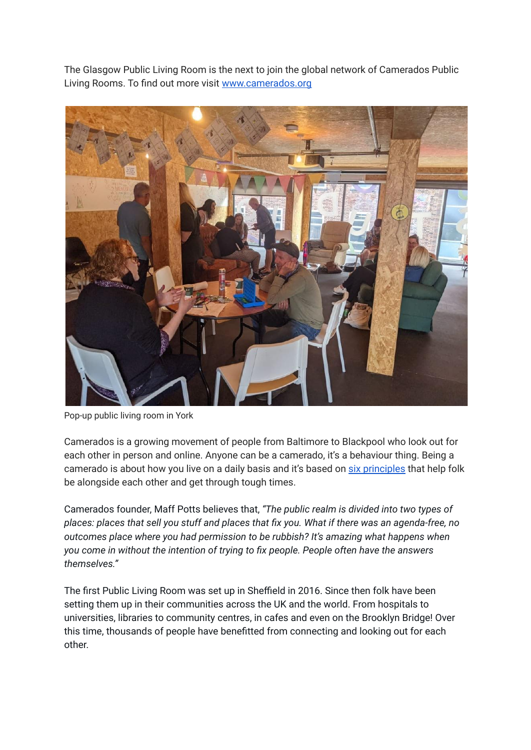The Glasgow Public Living Room is the next to join the global network of Camerados Public Living Rooms. To find out more visit [www.camerados.org](http://tracking.camerados.org/tracking/click?d=1LMi3sgPPuuSwDyG_sxSZx_JIcydQLWjcdudyYWL_kHCIDdCefNTE3qrtk7r8qtbpyc0UOkUrilLwhov-KjE_b4jGhuCgNCnS32SzH43ur-4M8at5ErZy0Zc8pB6EM-YZw2)



Pop-up public living room in York

Camerados is a growing movement of people from Baltimore to Blackpool who look out for each other in person and online. Anyone can be a camerado, it's a behaviour thing. Being a camerado is about how you live on a daily basis and it's based on six [principles](http://tracking.camerados.org/tracking/click?d=NARD0vp2jQn3K4asXgol6zoUqHy3A_O1xp_tDI76IPMWS0DGuVwESypRdPpeQWfn5CLf-g8O_zfK3NmTzmdHMKjf6DZaEgNPSm9yp2dRHHytAtdHoJEWVlc7u5WZuUVlEtGBb7bISzp2AFMujogGR3o1) that help folk be alongside each other and get through tough times.

Camerados founder, Maff Potts believes that, *"The public realm is divided into two types of places: places that sell you stuff and places that fix you. What if there was an agenda-free, no outcomes place where you had permission to be rubbish? It's amazing what happens when you come in without the intention of trying to fix people. People often have the answers themselves."*

The first Public Living Room was set up in Sheffield in 2016. Since then folk have been setting them up in their communities across the UK and the world. From hospitals to universities, libraries to community centres, in cafes and even on the Brooklyn Bridge! Over this time, thousands of people have benefitted from connecting and looking out for each other.